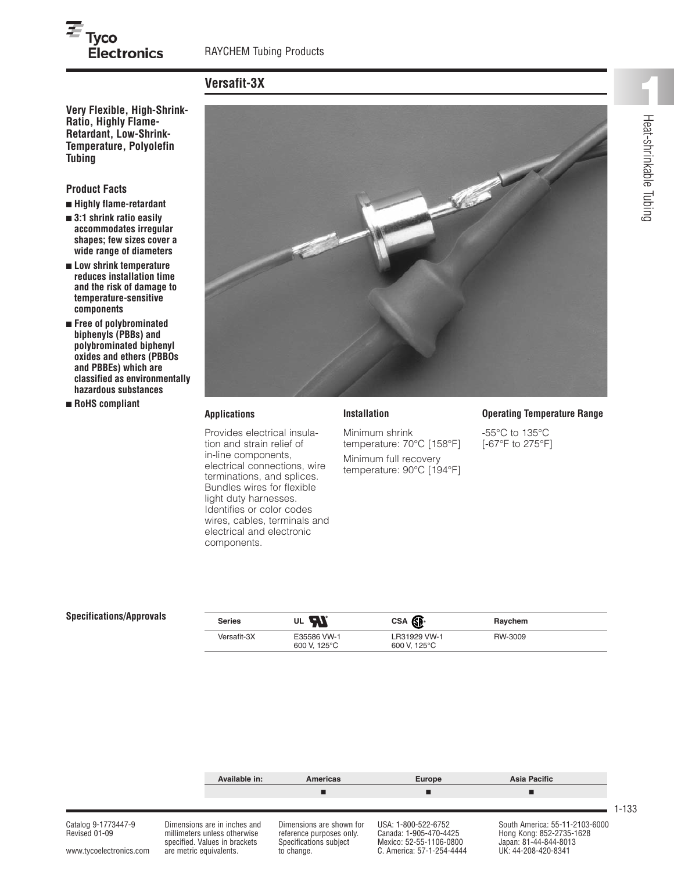# $\overline{\boldsymbol{\varepsilon}}_{\mathsf{Tyco}}$ **Electronics**

# **Versafit-3X**

**Very Flexible, High-Shrink-Ratio, Highly Flame-Retardant, Low-Shrink-Temperature, Polyolefin Tubing**

#### **Product Facts**

- **■ Highly flame-retardant**
- **■ 3:1 shrink ratio easily accommodates irregular shapes; few sizes cover a wide range of diameters**
- **■ Low shrink temperature reduces installation time and the risk of damage to temperature-sensitive components**
- **■ Free of polybrominated biphenyls (PBBs) and polybrominated biphenyl oxides and ethers (PBBOs and PBBEs) which are classified as environmentally hazardous substances**
- **■ RoHS compliant**



#### **Applications**

Provides electrical insulation and strain relief of in-line components, electrical connections, wire terminations, and splices. Bundles wires for flexible light duty harnesses. Identifies or color codes wires, cables, terminals and electrical and electronic components.

Minimum shrink temperature: 70°C [158°F] Minimum full recovery temperature: 90°C [194°F]

**Installation**

#### **Operating Temperature Range**

-55°C to 135°C [-67°F to 275°F]

#### **Specifications/Approvals**

| <b>Series</b> | . W<br>UL                   | CSA <b>SE</b>                | Raychem |  |
|---------------|-----------------------------|------------------------------|---------|--|
| Versafit-3X   | E35586 VW-1<br>600 V. 125°C | LR31929 VW-1<br>600 V. 125°C | RW-3009 |  |